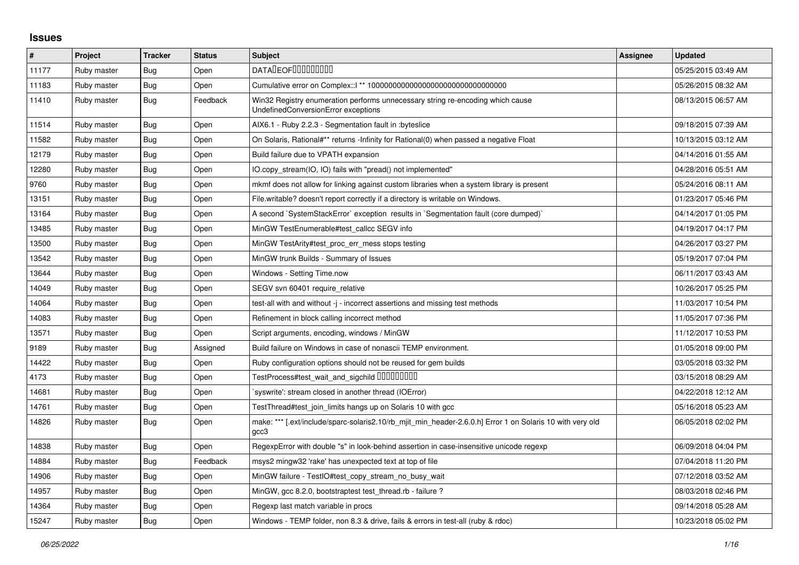## **Issues**

| $\sharp$ | Project     | <b>Tracker</b> | <b>Status</b> | <b>Subject</b>                                                                                                        | Assignee | <b>Updated</b>      |
|----------|-------------|----------------|---------------|-----------------------------------------------------------------------------------------------------------------------|----------|---------------------|
| 11177    | Ruby master | Bug            | Open          | <b>DATALEOFILILILILILI</b>                                                                                            |          | 05/25/2015 03:49 AM |
| 11183    | Ruby master | <b>Bug</b>     | Open          |                                                                                                                       |          | 05/26/2015 08:32 AM |
| 11410    | Ruby master | Bug            | Feedback      | Win32 Registry enumeration performs unnecessary string re-encoding which cause<br>UndefinedConversionError exceptions |          | 08/13/2015 06:57 AM |
| 11514    | Ruby master | Bug            | Open          | AIX6.1 - Ruby 2.2.3 - Segmentation fault in :byteslice                                                                |          | 09/18/2015 07:39 AM |
| 11582    | Ruby master | Bug            | Open          | On Solaris, Rational#** returns -Infinity for Rational(0) when passed a negative Float                                |          | 10/13/2015 03:12 AM |
| 12179    | Ruby master | Bug            | Open          | Build failure due to VPATH expansion                                                                                  |          | 04/14/2016 01:55 AM |
| 12280    | Ruby master | Bug            | Open          | IO.copy stream(IO, IO) fails with "pread() not implemented"                                                           |          | 04/28/2016 05:51 AM |
| 9760     | Ruby master | <b>Bug</b>     | Open          | mkmf does not allow for linking against custom libraries when a system library is present                             |          | 05/24/2016 08:11 AM |
| 13151    | Ruby master | Bug            | Open          | File.writable? doesn't report correctly if a directory is writable on Windows.                                        |          | 01/23/2017 05:46 PM |
| 13164    | Ruby master | Bug            | Open          | A second `SystemStackError` exception results in `Segmentation fault (core dumped)`                                   |          | 04/14/2017 01:05 PM |
| 13485    | Ruby master | Bug            | Open          | MinGW TestEnumerable#test callcc SEGV info                                                                            |          | 04/19/2017 04:17 PM |
| 13500    | Ruby master | Bug            | Open          | MinGW TestArity#test proc err mess stops testing                                                                      |          | 04/26/2017 03:27 PM |
| 13542    | Ruby master | Bug            | Open          | MinGW trunk Builds - Summary of Issues                                                                                |          | 05/19/2017 07:04 PM |
| 13644    | Ruby master | Bug            | Open          | Windows - Setting Time.now                                                                                            |          | 06/11/2017 03:43 AM |
| 14049    | Ruby master | <b>Bug</b>     | Open          | SEGV svn 60401 require_relative                                                                                       |          | 10/26/2017 05:25 PM |
| 14064    | Ruby master | Bug            | Open          | test-all with and without -j - incorrect assertions and missing test methods                                          |          | 11/03/2017 10:54 PM |
| 14083    | Ruby master | <b>Bug</b>     | Open          | Refinement in block calling incorrect method                                                                          |          | 11/05/2017 07:36 PM |
| 13571    | Ruby master | Bug            | Open          | Script arguments, encoding, windows / MinGW                                                                           |          | 11/12/2017 10:53 PM |
| 9189     | Ruby master | Bug            | Assigned      | Build failure on Windows in case of nonascii TEMP environment.                                                        |          | 01/05/2018 09:00 PM |
| 14422    | Ruby master | <b>Bug</b>     | Open          | Ruby configuration options should not be reused for gem builds                                                        |          | 03/05/2018 03:32 PM |
| 4173     | Ruby master | Bug            | Open          | TestProcess#test_wait_and_sigchild DDDDDDDD                                                                           |          | 03/15/2018 08:29 AM |
| 14681    | Ruby master | Bug            | Open          | 'syswrite': stream closed in another thread (IOError)                                                                 |          | 04/22/2018 12:12 AM |
| 14761    | Ruby master | Bug            | Open          | TestThread#test_join_limits hangs up on Solaris 10 with gcc                                                           |          | 05/16/2018 05:23 AM |
| 14826    | Ruby master | Bug            | Open          | make: *** [.ext/include/sparc-solaris2.10/rb_mjit_min_header-2.6.0.h] Error 1 on Solaris 10 with very old<br>gcc3     |          | 06/05/2018 02:02 PM |
| 14838    | Ruby master | Bug            | Open          | RegexpError with double "s" in look-behind assertion in case-insensitive unicode regexp                               |          | 06/09/2018 04:04 PM |
| 14884    | Ruby master | <b>Bug</b>     | Feedback      | msys2 mingw32 'rake' has unexpected text at top of file                                                               |          | 07/04/2018 11:20 PM |
| 14906    | Ruby master | Bug            | Open          | MinGW failure - TestIO#test_copy_stream_no_busy_wait                                                                  |          | 07/12/2018 03:52 AM |
| 14957    | Ruby master | Bug            | Open          | MinGW, gcc 8.2.0, bootstraptest test thread.rb - failure?                                                             |          | 08/03/2018 02:46 PM |
| 14364    | Ruby master | Bug            | Open          | Regexp last match variable in procs                                                                                   |          | 09/14/2018 05:28 AM |
| 15247    | Ruby master | <b>Bug</b>     | Open          | Windows - TEMP folder, non 8.3 & drive, fails & errors in test-all (ruby & rdoc)                                      |          | 10/23/2018 05:02 PM |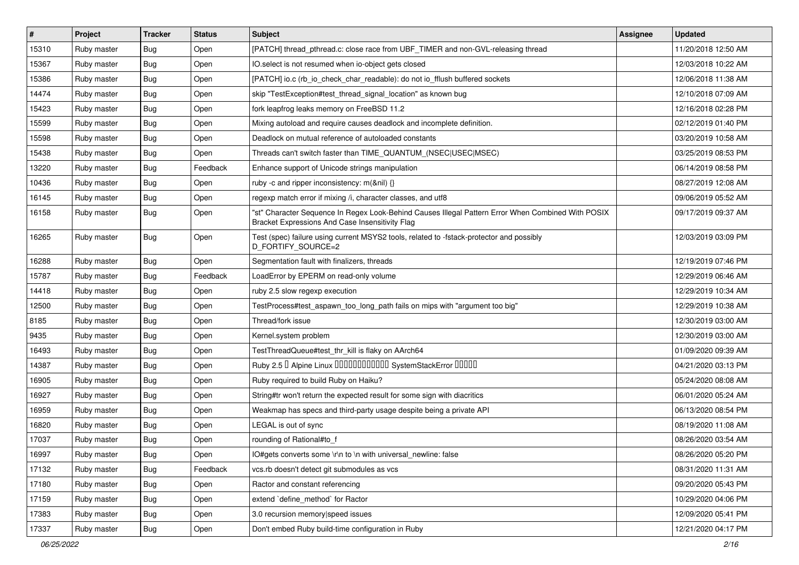| $\vert$ # | Project     | <b>Tracker</b> | <b>Status</b> | <b>Subject</b>                                                                                                                                        | Assignee | <b>Updated</b>      |
|-----------|-------------|----------------|---------------|-------------------------------------------------------------------------------------------------------------------------------------------------------|----------|---------------------|
| 15310     | Ruby master | <b>Bug</b>     | Open          | [PATCH] thread pthread.c: close race from UBF TIMER and non-GVL-releasing thread                                                                      |          | 11/20/2018 12:50 AM |
| 15367     | Ruby master | <b>Bug</b>     | Open          | IO.select is not resumed when io-object gets closed                                                                                                   |          | 12/03/2018 10:22 AM |
| 15386     | Ruby master | Bug            | Open          | [PATCH] io.c (rb_io_check_char_readable): do not io_fflush buffered sockets                                                                           |          | 12/06/2018 11:38 AM |
| 14474     | Ruby master | <b>Bug</b>     | Open          | skip "TestException#test_thread_signal_location" as known bug                                                                                         |          | 12/10/2018 07:09 AM |
| 15423     | Ruby master | <b>Bug</b>     | Open          | fork leapfrog leaks memory on FreeBSD 11.2                                                                                                            |          | 12/16/2018 02:28 PM |
| 15599     | Ruby master | <b>Bug</b>     | Open          | Mixing autoload and require causes deadlock and incomplete definition.                                                                                |          | 02/12/2019 01:40 PM |
| 15598     | Ruby master | <b>Bug</b>     | Open          | Deadlock on mutual reference of autoloaded constants                                                                                                  |          | 03/20/2019 10:58 AM |
| 15438     | Ruby master | Bug            | Open          | Threads can't switch faster than TIME_QUANTUM_(NSEC USEC MSEC)                                                                                        |          | 03/25/2019 08:53 PM |
| 13220     | Ruby master | Bug            | Feedback      | Enhance support of Unicode strings manipulation                                                                                                       |          | 06/14/2019 08:58 PM |
| 10436     | Ruby master | <b>Bug</b>     | Open          | ruby -c and ripper inconsistency: m(&nil) {}                                                                                                          |          | 08/27/2019 12:08 AM |
| 16145     | Ruby master | <b>Bug</b>     | Open          | regexp match error if mixing /i, character classes, and utf8                                                                                          |          | 09/06/2019 05:52 AM |
| 16158     | Ruby master | Bug            | Open          | "st" Character Sequence In Regex Look-Behind Causes Illegal Pattern Error When Combined With POSIX<br>Bracket Expressions And Case Insensitivity Flag |          | 09/17/2019 09:37 AM |
| 16265     | Ruby master | <b>Bug</b>     | Open          | Test (spec) failure using current MSYS2 tools, related to -fstack-protector and possibly<br>D_FORTIFY_SOURCE=2                                        |          | 12/03/2019 03:09 PM |
| 16288     | Ruby master | <b>Bug</b>     | Open          | Segmentation fault with finalizers, threads                                                                                                           |          | 12/19/2019 07:46 PM |
| 15787     | Ruby master | Bug            | Feedback      | LoadError by EPERM on read-only volume                                                                                                                |          | 12/29/2019 06:46 AM |
| 14418     | Ruby master | <b>Bug</b>     | Open          | ruby 2.5 slow regexp execution                                                                                                                        |          | 12/29/2019 10:34 AM |
| 12500     | Ruby master | <b>Bug</b>     | Open          | TestProcess#test_aspawn_too_long_path fails on mips with "argument too big"                                                                           |          | 12/29/2019 10:38 AM |
| 8185      | Ruby master | <b>Bug</b>     | Open          | Thread/fork issue                                                                                                                                     |          | 12/30/2019 03:00 AM |
| 9435      | Ruby master | <b>Bug</b>     | Open          | Kernel.system problem                                                                                                                                 |          | 12/30/2019 03:00 AM |
| 16493     | Ruby master | <b>Bug</b>     | Open          | TestThreadQueue#test_thr_kill is flaky on AArch64                                                                                                     |          | 01/09/2020 09:39 AM |
| 14387     | Ruby master | <b>Bug</b>     | Open          | Ruby 2.5 <sup>D</sup> Alpine Linux 000000000000 SystemStackError 00000                                                                                |          | 04/21/2020 03:13 PM |
| 16905     | Ruby master | Bug            | Open          | Ruby required to build Ruby on Haiku?                                                                                                                 |          | 05/24/2020 08:08 AM |
| 16927     | Ruby master | <b>Bug</b>     | Open          | String#tr won't return the expected result for some sign with diacritics                                                                              |          | 06/01/2020 05:24 AM |
| 16959     | Ruby master | <b>Bug</b>     | Open          | Weakmap has specs and third-party usage despite being a private API                                                                                   |          | 06/13/2020 08:54 PM |
| 16820     | Ruby master | <b>Bug</b>     | Open          | LEGAL is out of sync                                                                                                                                  |          | 08/19/2020 11:08 AM |
| 17037     | Ruby master | <b>Bug</b>     | Open          | rounding of Rational#to_f                                                                                                                             |          | 08/26/2020 03:54 AM |
| 16997     | Ruby master | Bug            | Open          | IO#gets converts some \r\n to \n with universal_newline: false                                                                                        |          | 08/26/2020 05:20 PM |
| 17132     | Ruby master | <b>Bug</b>     | Feedback      | vcs.rb doesn't detect git submodules as vcs                                                                                                           |          | 08/31/2020 11:31 AM |
| 17180     | Ruby master | <b>Bug</b>     | Open          | Ractor and constant referencing                                                                                                                       |          | 09/20/2020 05:43 PM |
| 17159     | Ruby master | <b>Bug</b>     | Open          | extend 'define_method' for Ractor                                                                                                                     |          | 10/29/2020 04:06 PM |
| 17383     | Ruby master | <b>Bug</b>     | Open          | 3.0 recursion memory speed issues                                                                                                                     |          | 12/09/2020 05:41 PM |
| 17337     | Ruby master | <b>Bug</b>     | Open          | Don't embed Ruby build-time configuration in Ruby                                                                                                     |          | 12/21/2020 04:17 PM |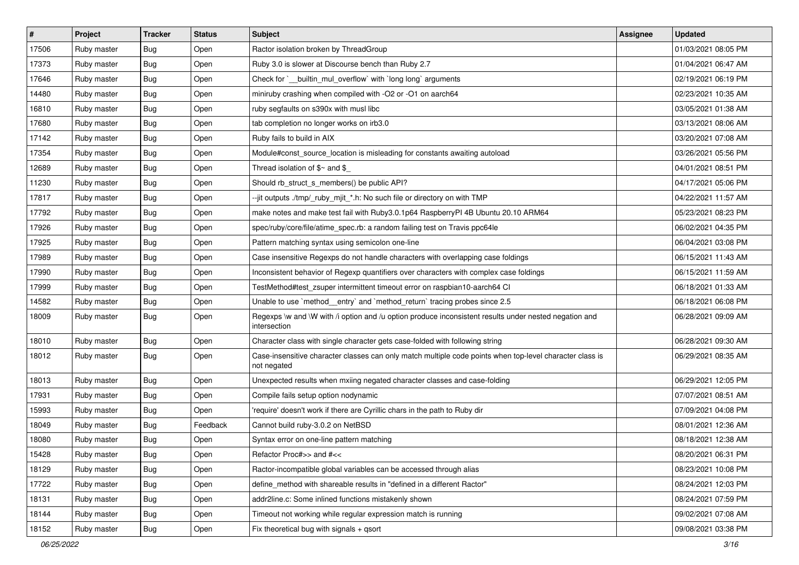| $\vert$ # | Project     | <b>Tracker</b> | <b>Status</b> | Subject                                                                                                                 | <b>Assignee</b> | <b>Updated</b>      |
|-----------|-------------|----------------|---------------|-------------------------------------------------------------------------------------------------------------------------|-----------------|---------------------|
| 17506     | Ruby master | Bug            | Open          | Ractor isolation broken by ThreadGroup                                                                                  |                 | 01/03/2021 08:05 PM |
| 17373     | Ruby master | <b>Bug</b>     | Open          | Ruby 3.0 is slower at Discourse bench than Ruby 2.7                                                                     |                 | 01/04/2021 06:47 AM |
| 17646     | Ruby master | Bug            | Open          | Check for `_builtin_mul_overflow` with `long long` arguments                                                            |                 | 02/19/2021 06:19 PM |
| 14480     | Ruby master | Bug            | Open          | miniruby crashing when compiled with -O2 or -O1 on aarch64                                                              |                 | 02/23/2021 10:35 AM |
| 16810     | Ruby master | <b>Bug</b>     | Open          | ruby segfaults on s390x with musl libc                                                                                  |                 | 03/05/2021 01:38 AM |
| 17680     | Ruby master | <b>Bug</b>     | Open          | tab completion no longer works on irb3.0                                                                                |                 | 03/13/2021 08:06 AM |
| 17142     | Ruby master | <b>Bug</b>     | Open          | Ruby fails to build in AIX                                                                                              |                 | 03/20/2021 07:08 AM |
| 17354     | Ruby master | <b>Bug</b>     | Open          | Module#const source location is misleading for constants awaiting autoload                                              |                 | 03/26/2021 05:56 PM |
| 12689     | Ruby master | <b>Bug</b>     | Open          | Thread isolation of $\gamma$ and $\gamma$                                                                               |                 | 04/01/2021 08:51 PM |
| 11230     | Ruby master | <b>Bug</b>     | Open          | Should rb_struct_s_members() be public API?                                                                             |                 | 04/17/2021 05:06 PM |
| 17817     | Ruby master | <b>Bug</b>     | Open          | --jit outputs ./tmp/_ruby_mjit_*.h: No such file or directory on with TMP                                               |                 | 04/22/2021 11:57 AM |
| 17792     | Ruby master | <b>Bug</b>     | Open          | make notes and make test fail with Ruby3.0.1p64 RaspberryPI 4B Ubuntu 20.10 ARM64                                       |                 | 05/23/2021 08:23 PM |
| 17926     | Ruby master | <b>Bug</b>     | Open          | spec/ruby/core/file/atime_spec.rb: a random failing test on Travis ppc64le                                              |                 | 06/02/2021 04:35 PM |
| 17925     | Ruby master | Bug            | Open          | Pattern matching syntax using semicolon one-line                                                                        |                 | 06/04/2021 03:08 PM |
| 17989     | Ruby master | Bug            | Open          | Case insensitive Regexps do not handle characters with overlapping case foldings                                        |                 | 06/15/2021 11:43 AM |
| 17990     | Ruby master | Bug            | Open          | Inconsistent behavior of Regexp quantifiers over characters with complex case foldings                                  |                 | 06/15/2021 11:59 AM |
| 17999     | Ruby master | <b>Bug</b>     | Open          | TestMethod#test_zsuper intermittent timeout error on raspbian10-aarch64 CI                                              |                 | 06/18/2021 01:33 AM |
| 14582     | Ruby master | <b>Bug</b>     | Open          | Unable to use `method_entry` and `method_return` tracing probes since 2.5                                               |                 | 06/18/2021 06:08 PM |
| 18009     | Ruby master | <b>Bug</b>     | Open          | Regexps \w and \W with /i option and /u option produce inconsistent results under nested negation and<br>intersection   |                 | 06/28/2021 09:09 AM |
| 18010     | Ruby master | Bug            | Open          | Character class with single character gets case-folded with following string                                            |                 | 06/28/2021 09:30 AM |
| 18012     | Ruby master | Bug            | Open          | Case-insensitive character classes can only match multiple code points when top-level character class is<br>not negated |                 | 06/29/2021 08:35 AM |
| 18013     | Ruby master | Bug            | Open          | Unexpected results when mxiing negated character classes and case-folding                                               |                 | 06/29/2021 12:05 PM |
| 17931     | Ruby master | <b>Bug</b>     | Open          | Compile fails setup option nodynamic                                                                                    |                 | 07/07/2021 08:51 AM |
| 15993     | Ruby master | <b>Bug</b>     | Open          | 'require' doesn't work if there are Cyrillic chars in the path to Ruby dir                                              |                 | 07/09/2021 04:08 PM |
| 18049     | Ruby master | <b>Bug</b>     | Feedback      | Cannot build ruby-3.0.2 on NetBSD                                                                                       |                 | 08/01/2021 12:36 AM |
| 18080     | Ruby master | <b>Bug</b>     | Open          | Syntax error on one-line pattern matching                                                                               |                 | 08/18/2021 12:38 AM |
| 15428     | Ruby master | Bug            | Open          | Refactor Proc#>> and #<<                                                                                                |                 | 08/20/2021 06:31 PM |
| 18129     | Ruby master | <b>Bug</b>     | Open          | Ractor-incompatible global variables can be accessed through alias                                                      |                 | 08/23/2021 10:08 PM |
| 17722     | Ruby master | Bug            | Open          | define method with shareable results in "defined in a different Ractor"                                                 |                 | 08/24/2021 12:03 PM |
| 18131     | Ruby master | Bug            | Open          | addr2line.c: Some inlined functions mistakenly shown                                                                    |                 | 08/24/2021 07:59 PM |
| 18144     | Ruby master | <b>Bug</b>     | Open          | Timeout not working while regular expression match is running                                                           |                 | 09/02/2021 07:08 AM |
| 18152     | Ruby master | <b>Bug</b>     | Open          | Fix theoretical bug with signals + qsort                                                                                |                 | 09/08/2021 03:38 PM |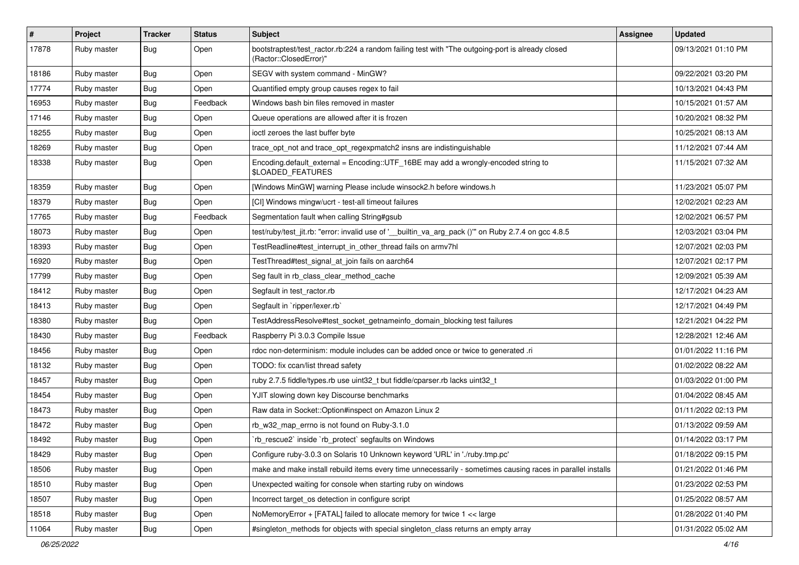| #     | Project     | <b>Tracker</b> | <b>Status</b> | Subject                                                                                                                    | Assignee | <b>Updated</b>      |
|-------|-------------|----------------|---------------|----------------------------------------------------------------------------------------------------------------------------|----------|---------------------|
| 17878 | Ruby master | <b>Bug</b>     | Open          | bootstraptest/test_ractor.rb:224 a random failing test with "The outgoing-port is already closed<br>(Ractor::ClosedError)" |          | 09/13/2021 01:10 PM |
| 18186 | Ruby master | <b>Bug</b>     | Open          | SEGV with system command - MinGW?                                                                                          |          | 09/22/2021 03:20 PM |
| 17774 | Ruby master | <b>Bug</b>     | Open          | Quantified empty group causes regex to fail                                                                                |          | 10/13/2021 04:43 PM |
| 16953 | Ruby master | Bug            | Feedback      | Windows bash bin files removed in master                                                                                   |          | 10/15/2021 01:57 AM |
| 17146 | Ruby master | <b>Bug</b>     | Open          | Queue operations are allowed after it is frozen                                                                            |          | 10/20/2021 08:32 PM |
| 18255 | Ruby master | <b>Bug</b>     | Open          | ioctl zeroes the last buffer byte                                                                                          |          | 10/25/2021 08:13 AM |
| 18269 | Ruby master | <b>Bug</b>     | Open          | trace_opt_not and trace_opt_regexpmatch2 insns are indistinguishable                                                       |          | 11/12/2021 07:44 AM |
| 18338 | Ruby master | <b>Bug</b>     | Open          | Encoding.default_external = Encoding::UTF_16BE may add a wrongly-encoded string to<br>\$LOADED_FEATURES                    |          | 11/15/2021 07:32 AM |
| 18359 | Ruby master | <b>Bug</b>     | Open          | [Windows MinGW] warning Please include winsock2.h before windows.h                                                         |          | 11/23/2021 05:07 PM |
| 18379 | Ruby master | <b>Bug</b>     | Open          | [CI] Windows mingw/ucrt - test-all timeout failures                                                                        |          | 12/02/2021 02:23 AM |
| 17765 | Ruby master | Bug            | Feedback      | Segmentation fault when calling String#gsub                                                                                |          | 12/02/2021 06:57 PM |
| 18073 | Ruby master | <b>Bug</b>     | Open          | test/ruby/test_jit.rb: "error: invalid use of '__builtin_va_arg_pack ()" on Ruby 2.7.4 on gcc 4.8.5                        |          | 12/03/2021 03:04 PM |
| 18393 | Ruby master | <b>Bug</b>     | Open          | TestReadline#test_interrupt_in_other_thread fails on armv7hl                                                               |          | 12/07/2021 02:03 PM |
| 16920 | Ruby master | <b>Bug</b>     | Open          | TestThread#test_signal_at_join fails on aarch64                                                                            |          | 12/07/2021 02:17 PM |
| 17799 | Ruby master | <b>Bug</b>     | Open          | Seg fault in rb_class_clear_method_cache                                                                                   |          | 12/09/2021 05:39 AM |
| 18412 | Ruby master | <b>Bug</b>     | Open          | Segfault in test_ractor.rb                                                                                                 |          | 12/17/2021 04:23 AM |
| 18413 | Ruby master | <b>Bug</b>     | Open          | Segfault in `ripper/lexer.rb`                                                                                              |          | 12/17/2021 04:49 PM |
| 18380 | Ruby master | <b>Bug</b>     | Open          | TestAddressResolve#test_socket_getnameinfo_domain_blocking test failures                                                   |          | 12/21/2021 04:22 PM |
| 18430 | Ruby master | <b>Bug</b>     | Feedback      | Raspberry Pi 3.0.3 Compile Issue                                                                                           |          | 12/28/2021 12:46 AM |
| 18456 | Ruby master | <b>Bug</b>     | Open          | rdoc non-determinism: module includes can be added once or twice to generated .ri                                          |          | 01/01/2022 11:16 PM |
| 18132 | Ruby master | <b>Bug</b>     | Open          | TODO: fix ccan/list thread safety                                                                                          |          | 01/02/2022 08:22 AM |
| 18457 | Ruby master | <b>Bug</b>     | Open          | ruby 2.7.5 fiddle/types.rb use uint32_t but fiddle/cparser.rb lacks uint32_t                                               |          | 01/03/2022 01:00 PM |
| 18454 | Ruby master | <b>Bug</b>     | Open          | YJIT slowing down key Discourse benchmarks                                                                                 |          | 01/04/2022 08:45 AM |
| 18473 | Ruby master | <b>Bug</b>     | Open          | Raw data in Socket:: Option#inspect on Amazon Linux 2                                                                      |          | 01/11/2022 02:13 PM |
| 18472 | Ruby master | <b>Bug</b>     | Open          | rb_w32_map_errno is not found on Ruby-3.1.0                                                                                |          | 01/13/2022 09:59 AM |
| 18492 | Ruby master | <b>Bug</b>     | Open          | 'rb_rescue2' inside 'rb_protect' segfaults on Windows                                                                      |          | 01/14/2022 03:17 PM |
| 18429 | Ruby master | Bug            | Open          | Configure ruby-3.0.3 on Solaris 10 Unknown keyword 'URL' in './ruby.tmp.pc'                                                |          | 01/18/2022 09:15 PM |
| 18506 | Ruby master | <b>Bug</b>     | Open          | make and make install rebuild items every time unnecessarily - sometimes causing races in parallel installs                |          | 01/21/2022 01:46 PM |
| 18510 | Ruby master | Bug            | Open          | Unexpected waiting for console when starting ruby on windows                                                               |          | 01/23/2022 02:53 PM |
| 18507 | Ruby master | <b>Bug</b>     | Open          | Incorrect target os detection in configure script                                                                          |          | 01/25/2022 08:57 AM |
| 18518 | Ruby master | <b>Bug</b>     | Open          | NoMemoryError + [FATAL] failed to allocate memory for twice 1 << large                                                     |          | 01/28/2022 01:40 PM |
| 11064 | Ruby master | Bug            | Open          | #singleton_methods for objects with special singleton_class returns an empty array                                         |          | 01/31/2022 05:02 AM |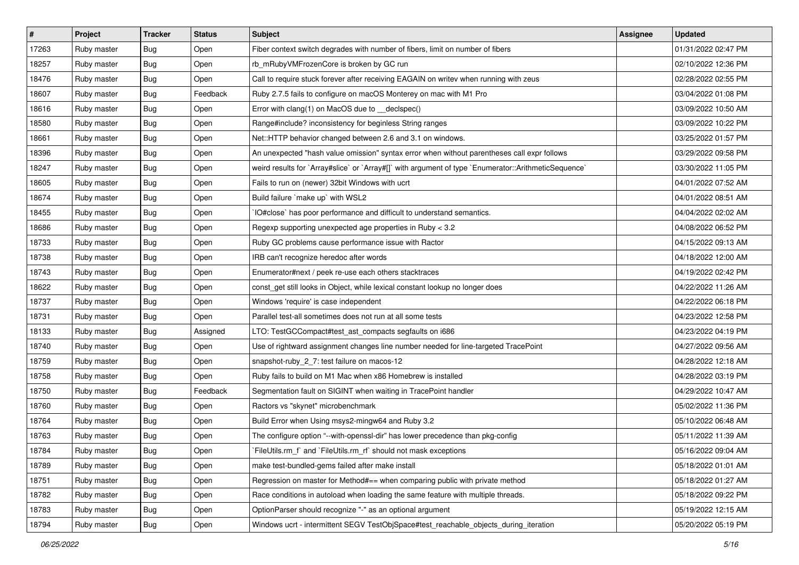| $\vert$ # | Project     | <b>Tracker</b> | <b>Status</b> | Subject                                                                                              | Assignee | <b>Updated</b>      |
|-----------|-------------|----------------|---------------|------------------------------------------------------------------------------------------------------|----------|---------------------|
| 17263     | Ruby master | <b>Bug</b>     | Open          | Fiber context switch degrades with number of fibers, limit on number of fibers                       |          | 01/31/2022 02:47 PM |
| 18257     | Ruby master | <b>Bug</b>     | Open          | rb_mRubyVMFrozenCore is broken by GC run                                                             |          | 02/10/2022 12:36 PM |
| 18476     | Ruby master | <b>Bug</b>     | Open          | Call to require stuck forever after receiving EAGAIN on writev when running with zeus                |          | 02/28/2022 02:55 PM |
| 18607     | Ruby master | <b>Bug</b>     | Feedback      | Ruby 2.7.5 fails to configure on macOS Monterey on mac with M1 Pro                                   |          | 03/04/2022 01:08 PM |
| 18616     | Ruby master | <b>Bug</b>     | Open          | Error with clang(1) on MacOS due to _declspec()                                                      |          | 03/09/2022 10:50 AM |
| 18580     | Ruby master | <b>Bug</b>     | Open          | Range#include? inconsistency for beginless String ranges                                             |          | 03/09/2022 10:22 PM |
| 18661     | Ruby master | <b>Bug</b>     | Open          | Net::HTTP behavior changed between 2.6 and 3.1 on windows.                                           |          | 03/25/2022 01:57 PM |
| 18396     | Ruby master | <b>Bug</b>     | Open          | An unexpected "hash value omission" syntax error when without parentheses call expr follows          |          | 03/29/2022 09:58 PM |
| 18247     | Ruby master | <b>Bug</b>     | Open          | weird results for `Array#slice` or `Array#[]` with argument of type `Enumerator::ArithmeticSequence` |          | 03/30/2022 11:05 PM |
| 18605     | Ruby master | <b>Bug</b>     | Open          | Fails to run on (newer) 32bit Windows with ucrt                                                      |          | 04/01/2022 07:52 AM |
| 18674     | Ruby master | <b>Bug</b>     | Open          | Build failure `make up` with WSL2                                                                    |          | 04/01/2022 08:51 AM |
| 18455     | Ruby master | <b>Bug</b>     | Open          | IO#close` has poor performance and difficult to understand semantics.                                |          | 04/04/2022 02:02 AM |
| 18686     | Ruby master | <b>Bug</b>     | Open          | Regexp supporting unexpected age properties in Ruby < 3.2                                            |          | 04/08/2022 06:52 PM |
| 18733     | Ruby master | <b>Bug</b>     | Open          | Ruby GC problems cause performance issue with Ractor                                                 |          | 04/15/2022 09:13 AM |
| 18738     | Ruby master | <b>Bug</b>     | Open          | IRB can't recognize heredoc after words                                                              |          | 04/18/2022 12:00 AM |
| 18743     | Ruby master | <b>Bug</b>     | Open          | Enumerator#next / peek re-use each others stacktraces                                                |          | 04/19/2022 02:42 PM |
| 18622     | Ruby master | <b>Bug</b>     | Open          | const_get still looks in Object, while lexical constant lookup no longer does                        |          | 04/22/2022 11:26 AM |
| 18737     | Ruby master | <b>Bug</b>     | Open          | Windows 'require' is case independent                                                                |          | 04/22/2022 06:18 PM |
| 18731     | Ruby master | <b>Bug</b>     | Open          | Parallel test-all sometimes does not run at all some tests                                           |          | 04/23/2022 12:58 PM |
| 18133     | Ruby master | <b>Bug</b>     | Assigned      | LTO: TestGCCompact#test_ast_compacts segfaults on i686                                               |          | 04/23/2022 04:19 PM |
| 18740     | Ruby master | <b>Bug</b>     | Open          | Use of rightward assignment changes line number needed for line-targeted TracePoint                  |          | 04/27/2022 09:56 AM |
| 18759     | Ruby master | <b>Bug</b>     | Open          | snapshot-ruby_2_7: test failure on macos-12                                                          |          | 04/28/2022 12:18 AM |
| 18758     | Ruby master | <b>Bug</b>     | Open          | Ruby fails to build on M1 Mac when x86 Homebrew is installed                                         |          | 04/28/2022 03:19 PM |
| 18750     | Ruby master | <b>Bug</b>     | Feedback      | Segmentation fault on SIGINT when waiting in TracePoint handler                                      |          | 04/29/2022 10:47 AM |
| 18760     | Ruby master | <b>Bug</b>     | Open          | Ractors vs "skynet" microbenchmark                                                                   |          | 05/02/2022 11:36 PM |
| 18764     | Ruby master | <b>Bug</b>     | Open          | Build Error when Using msys2-mingw64 and Ruby 3.2                                                    |          | 05/10/2022 06:48 AM |
| 18763     | Ruby master | Bug            | Open          | The configure option "--with-openssl-dir" has lower precedence than pkg-config                       |          | 05/11/2022 11:39 AM |
| 18784     | Ruby master | Bug            | Open          | FileUtils.rm_f and `FileUtils.rm_rf` should not mask exceptions                                      |          | 05/16/2022 09:04 AM |
| 18789     | Ruby master | <b>Bug</b>     | Open          | make test-bundled-gems failed after make install                                                     |          | 05/18/2022 01:01 AM |
| 18751     | Ruby master | <b>Bug</b>     | Open          | Regression on master for Method#== when comparing public with private method                         |          | 05/18/2022 01:27 AM |
| 18782     | Ruby master | <b>Bug</b>     | Open          | Race conditions in autoload when loading the same feature with multiple threads.                     |          | 05/18/2022 09:22 PM |
| 18783     | Ruby master | <b>Bug</b>     | Open          | OptionParser should recognize "-" as an optional argument                                            |          | 05/19/2022 12:15 AM |
| 18794     | Ruby master | Bug            | Open          | Windows ucrt - intermittent SEGV TestObjSpace#test_reachable_objects_during_iteration                |          | 05/20/2022 05:19 PM |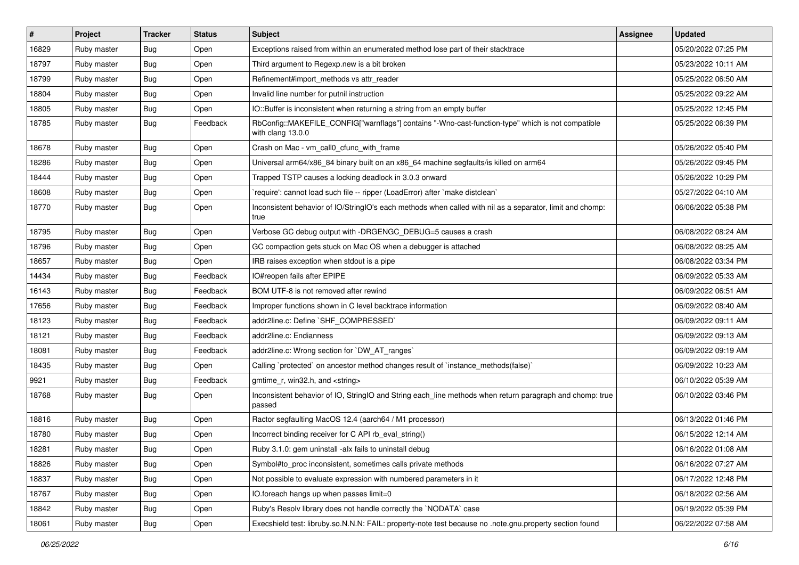| $\vert$ # | Project     | <b>Tracker</b> | <b>Status</b> | <b>Subject</b>                                                                                                         | Assignee | <b>Updated</b>      |
|-----------|-------------|----------------|---------------|------------------------------------------------------------------------------------------------------------------------|----------|---------------------|
| 16829     | Ruby master | <b>Bug</b>     | Open          | Exceptions raised from within an enumerated method lose part of their stacktrace                                       |          | 05/20/2022 07:25 PM |
| 18797     | Ruby master | <b>Bug</b>     | Open          | Third argument to Regexp.new is a bit broken                                                                           |          | 05/23/2022 10:11 AM |
| 18799     | Ruby master | <b>Bug</b>     | Open          | Refinement#import_methods vs attr_reader                                                                               |          | 05/25/2022 06:50 AM |
| 18804     | Ruby master | <b>Bug</b>     | Open          | Invalid line number for putnil instruction                                                                             |          | 05/25/2022 09:22 AM |
| 18805     | Ruby master | <b>Bug</b>     | Open          | IO::Buffer is inconsistent when returning a string from an empty buffer                                                |          | 05/25/2022 12:45 PM |
| 18785     | Ruby master | <b>Bug</b>     | Feedback      | RbConfig::MAKEFILE_CONFIG["warnflags"] contains "-Wno-cast-function-type" which is not compatible<br>with clang 13.0.0 |          | 05/25/2022 06:39 PM |
| 18678     | Ruby master | <b>Bug</b>     | Open          | Crash on Mac - vm_call0_cfunc_with_frame                                                                               |          | 05/26/2022 05:40 PM |
| 18286     | Ruby master | <b>Bug</b>     | Open          | Universal arm64/x86_84 binary built on an x86_64 machine segfaults/is killed on arm64                                  |          | 05/26/2022 09:45 PM |
| 18444     | Ruby master | <b>Bug</b>     | Open          | Trapped TSTP causes a locking deadlock in 3.0.3 onward                                                                 |          | 05/26/2022 10:29 PM |
| 18608     | Ruby master | Bug            | Open          | 'require': cannot load such file -- ripper (LoadError) after 'make distclean'                                          |          | 05/27/2022 04:10 AM |
| 18770     | Ruby master | Bug            | Open          | Inconsistent behavior of IO/StringIO's each methods when called with nil as a separator, limit and chomp:<br>true      |          | 06/06/2022 05:38 PM |
| 18795     | Ruby master | <b>Bug</b>     | Open          | Verbose GC debug output with -DRGENGC_DEBUG=5 causes a crash                                                           |          | 06/08/2022 08:24 AM |
| 18796     | Ruby master | <b>Bug</b>     | Open          | GC compaction gets stuck on Mac OS when a debugger is attached                                                         |          | 06/08/2022 08:25 AM |
| 18657     | Ruby master | <b>Bug</b>     | Open          | IRB raises exception when stdout is a pipe                                                                             |          | 06/08/2022 03:34 PM |
| 14434     | Ruby master | <b>Bug</b>     | Feedback      | IO#reopen fails after EPIPE                                                                                            |          | 06/09/2022 05:33 AM |
| 16143     | Ruby master | Bug            | Feedback      | BOM UTF-8 is not removed after rewind                                                                                  |          | 06/09/2022 06:51 AM |
| 17656     | Ruby master | <b>Bug</b>     | Feedback      | Improper functions shown in C level backtrace information                                                              |          | 06/09/2022 08:40 AM |
| 18123     | Ruby master | <b>Bug</b>     | Feedback      | addr2line.c: Define `SHF_COMPRESSED`                                                                                   |          | 06/09/2022 09:11 AM |
| 18121     | Ruby master | <b>Bug</b>     | Feedback      | addr2line.c: Endianness                                                                                                |          | 06/09/2022 09:13 AM |
| 18081     | Ruby master | <b>Bug</b>     | Feedback      | addr2line.c: Wrong section for `DW_AT_ranges`                                                                          |          | 06/09/2022 09:19 AM |
| 18435     | Ruby master | <b>Bug</b>     | Open          | Calling `protected` on ancestor method changes result of `instance_methods(false)`                                     |          | 06/09/2022 10:23 AM |
| 9921      | Ruby master | Bug            | Feedback      | gmtime r, win32.h, and <string></string>                                                                               |          | 06/10/2022 05:39 AM |
| 18768     | Ruby master | <b>Bug</b>     | Open          | Inconsistent behavior of IO, StringIO and String each_line methods when return paragraph and chomp: true<br>passed     |          | 06/10/2022 03:46 PM |
| 18816     | Ruby master | <b>Bug</b>     | Open          | Ractor segfaulting MacOS 12.4 (aarch64 / M1 processor)                                                                 |          | 06/13/2022 01:46 PM |
| 18780     | Ruby master | Bug            | Open          | Incorrect binding receiver for C API rb_eval_string()                                                                  |          | 06/15/2022 12:14 AM |
| 18281     | Ruby master | Bug            | Open          | Ruby 3.1.0: gem uninstall -alx fails to uninstall debug                                                                |          | 06/16/2022 01:08 AM |
| 18826     | Ruby master | Bug            | Open          | Symbol#to proc inconsistent, sometimes calls private methods                                                           |          | 06/16/2022 07:27 AM |
| 18837     | Ruby master | <b>Bug</b>     | Open          | Not possible to evaluate expression with numbered parameters in it                                                     |          | 06/17/2022 12:48 PM |
| 18767     | Ruby master | <b>Bug</b>     | Open          | IO.foreach hangs up when passes limit=0                                                                                |          | 06/18/2022 02:56 AM |
| 18842     | Ruby master | <b>Bug</b>     | Open          | Ruby's Resolv library does not handle correctly the `NODATA` case                                                      |          | 06/19/2022 05:39 PM |
| 18061     | Ruby master | <b>Bug</b>     | Open          | Execshield test: libruby.so.N.N.N: FAIL: property-note test because no .note.gnu.property section found                |          | 06/22/2022 07:58 AM |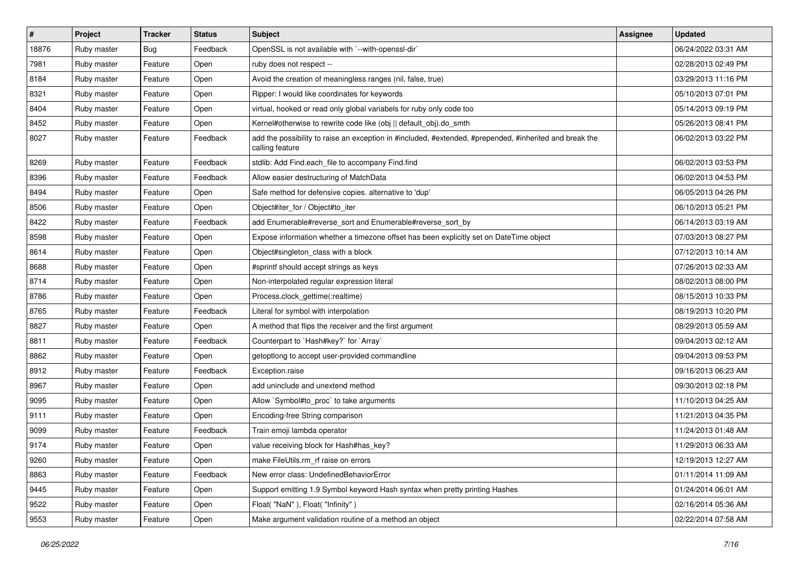| $\vert$ # | Project     | <b>Tracker</b> | <b>Status</b> | Subject                                                                                                                    | Assignee | <b>Updated</b>      |
|-----------|-------------|----------------|---------------|----------------------------------------------------------------------------------------------------------------------------|----------|---------------------|
| 18876     | Ruby master | Bug            | Feedback      | OpenSSL is not available with `--with-openssl-dir`                                                                         |          | 06/24/2022 03:31 AM |
| 7981      | Ruby master | Feature        | Open          | ruby does not respect --                                                                                                   |          | 02/28/2013 02:49 PM |
| 8184      | Ruby master | Feature        | Open          | Avoid the creation of meaningless ranges (nil, false, true)                                                                |          | 03/29/2013 11:16 PM |
| 8321      | Ruby master | Feature        | Open          | Ripper: I would like coordinates for keywords                                                                              |          | 05/10/2013 07:01 PM |
| 8404      | Ruby master | Feature        | Open          | virtual, hooked or read only global variabels for ruby only code too                                                       |          | 05/14/2013 09:19 PM |
| 8452      | Ruby master | Feature        | Open          | Kernel#otherwise to rewrite code like (obj    default obj).do smth                                                         |          | 05/26/2013 08:41 PM |
| 8027      | Ruby master | Feature        | Feedback      | add the possibility to raise an exception in #included, #extended, #prepended, #inherited and break the<br>calling feature |          | 06/02/2013 03:22 PM |
| 8269      | Ruby master | Feature        | Feedback      | stdlib: Add Find.each_file to accompany Find.find                                                                          |          | 06/02/2013 03:53 PM |
| 8396      | Ruby master | Feature        | Feedback      | Allow easier destructuring of MatchData                                                                                    |          | 06/02/2013 04:53 PM |
| 8494      | Ruby master | Feature        | Open          | Safe method for defensive copies. alternative to 'dup'                                                                     |          | 06/05/2013 04:26 PM |
| 8506      | Ruby master | Feature        | Open          | Object#iter_for / Object#to_iter                                                                                           |          | 06/10/2013 05:21 PM |
| 8422      | Ruby master | Feature        | Feedback      | add Enumerable#reverse_sort and Enumerable#reverse_sort_by                                                                 |          | 06/14/2013 03:19 AM |
| 8598      | Ruby master | Feature        | Open          | Expose information whether a timezone offset has been explicitly set on DateTime object                                    |          | 07/03/2013 08:27 PM |
| 8614      | Ruby master | Feature        | Open          | Object#singleton_class with a block                                                                                        |          | 07/12/2013 10:14 AM |
| 8688      | Ruby master | Feature        | Open          | #sprintf should accept strings as keys                                                                                     |          | 07/26/2013 02:33 AM |
| 8714      | Ruby master | Feature        | Open          | Non-interpolated regular expression literal                                                                                |          | 08/02/2013 08:00 PM |
| 8786      | Ruby master | Feature        | Open          | Process.clock_gettime(:realtime)                                                                                           |          | 08/15/2013 10:33 PM |
| 8765      | Ruby master | Feature        | Feedback      | Literal for symbol with interpolation                                                                                      |          | 08/19/2013 10:20 PM |
| 8827      | Ruby master | Feature        | Open          | A method that flips the receiver and the first argument                                                                    |          | 08/29/2013 05:59 AM |
| 8811      | Ruby master | Feature        | Feedback      | Counterpart to `Hash#key?` for `Array`                                                                                     |          | 09/04/2013 02:12 AM |
| 8862      | Ruby master | Feature        | Open          | getoptlong to accept user-provided commandline                                                                             |          | 09/04/2013 09:53 PM |
| 8912      | Ruby master | Feature        | Feedback      | Exception.raise                                                                                                            |          | 09/16/2013 06:23 AM |
| 8967      | Ruby master | Feature        | Open          | add uninclude and unextend method                                                                                          |          | 09/30/2013 02:18 PM |
| 9095      | Ruby master | Feature        | Open          | Allow `Symbol#to_proc` to take arguments                                                                                   |          | 11/10/2013 04:25 AM |
| 9111      | Ruby master | Feature        | Open          | Encoding-free String comparison                                                                                            |          | 11/21/2013 04:35 PM |
| 9099      | Ruby master | Feature        | Feedback      | Train emoji lambda operator                                                                                                |          | 11/24/2013 01:48 AM |
| 9174      | Ruby master | Feature        | Open          | value receiving block for Hash#has key?                                                                                    |          | 11/29/2013 06:33 AM |
| 9260      | Ruby master | Feature        | Open          | make FileUtils.rm rf raise on errors                                                                                       |          | 12/19/2013 12:27 AM |
| 8863      | Ruby master | Feature        | Feedback      | New error class: UndefinedBehaviorError                                                                                    |          | 01/11/2014 11:09 AM |
| 9445      | Ruby master | Feature        | Open          | Support emitting 1.9 Symbol keyword Hash syntax when pretty printing Hashes                                                |          | 01/24/2014 06:01 AM |
| 9522      | Ruby master | Feature        | Open          | Float("NaN"), Float("Infinity")                                                                                            |          | 02/16/2014 05:36 AM |
| 9553      | Ruby master | Feature        | Open          | Make argument validation routine of a method an object                                                                     |          | 02/22/2014 07:58 AM |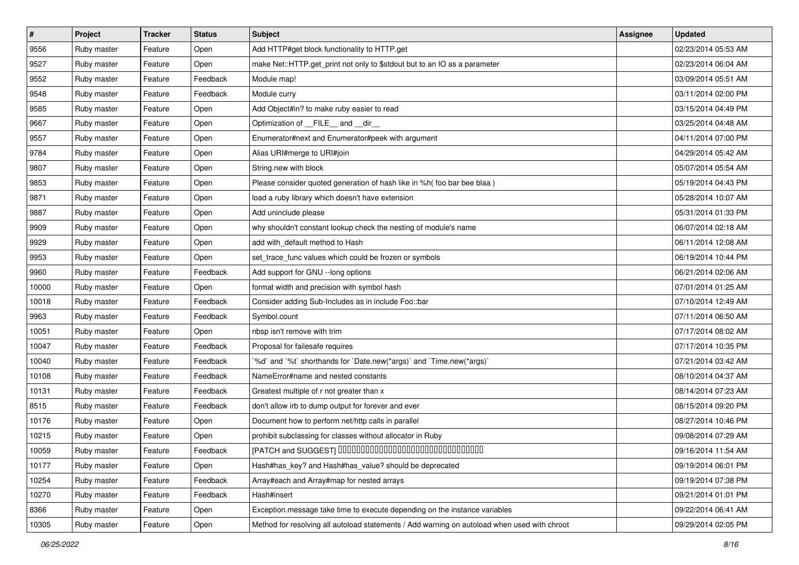| $\vert$ # | Project     | <b>Tracker</b> | <b>Status</b> | Subject                                                                                      | <b>Assignee</b> | <b>Updated</b>      |
|-----------|-------------|----------------|---------------|----------------------------------------------------------------------------------------------|-----------------|---------------------|
| 9556      | Ruby master | Feature        | Open          | Add HTTP#get block functionality to HTTP.get                                                 |                 | 02/23/2014 05:53 AM |
| 9527      | Ruby master | Feature        | Open          | make Net::HTTP.get_print not only to \$stdout but to an IO as a parameter                    |                 | 02/23/2014 06:04 AM |
| 9552      | Ruby master | Feature        | Feedback      | Module map!                                                                                  |                 | 03/09/2014 05:51 AM |
| 9548      | Ruby master | Feature        | Feedback      | Module curry                                                                                 |                 | 03/11/2014 02:00 PM |
| 9585      | Ruby master | Feature        | Open          | Add Object#in? to make ruby easier to read                                                   |                 | 03/15/2014 04:49 PM |
| 9667      | Ruby master | Feature        | Open          | Optimization of FILE and dir                                                                 |                 | 03/25/2014 04:48 AM |
| 9557      | Ruby master | Feature        | Open          | Enumerator#next and Enumerator#peek with argument                                            |                 | 04/11/2014 07:00 PM |
| 9784      | Ruby master | Feature        | Open          | Alias URI#merge to URI#join                                                                  |                 | 04/29/2014 05:42 AM |
| 9807      | Ruby master | Feature        | Open          | String.new with block                                                                        |                 | 05/07/2014 05:54 AM |
| 9853      | Ruby master | Feature        | Open          | Please consider quoted generation of hash like in %h( foo bar bee blaa)                      |                 | 05/19/2014 04:43 PM |
| 9871      | Ruby master | Feature        | Open          | load a ruby library which doesn't have extension                                             |                 | 05/28/2014 10:07 AM |
| 9887      | Ruby master | Feature        | Open          | Add uninclude please                                                                         |                 | 05/31/2014 01:33 PM |
| 9909      | Ruby master | Feature        | Open          | why shouldn't constant lookup check the nesting of module's name                             |                 | 06/07/2014 02:18 AM |
| 9929      | Ruby master | Feature        | Open          | add with_default method to Hash                                                              |                 | 06/11/2014 12:08 AM |
| 9953      | Ruby master | Feature        | Open          | set_trace_func values which could be frozen or symbols                                       |                 | 06/19/2014 10:44 PM |
| 9960      | Ruby master | Feature        | Feedback      | Add support for GNU --long options                                                           |                 | 06/21/2014 02:06 AM |
| 10000     | Ruby master | Feature        | Open          | format width and precision with symbol hash                                                  |                 | 07/01/2014 01:25 AM |
| 10018     | Ruby master | Feature        | Feedback      | Consider adding Sub-Includes as in include Foo::bar                                          |                 | 07/10/2014 12:49 AM |
| 9963      | Ruby master | Feature        | Feedback      | Symbol.count                                                                                 |                 | 07/11/2014 06:50 AM |
| 10051     | Ruby master | Feature        | Open          | nbsp isn't remove with trim                                                                  |                 | 07/17/2014 08:02 AM |
| 10047     | Ruby master | Feature        | Feedback      | Proposal for failesafe requires                                                              |                 | 07/17/2014 10:35 PM |
| 10040     | Ruby master | Feature        | Feedback      | `%d` and `%t` shorthands for `Date.new(*args)` and `Time.new(*args)`                         |                 | 07/21/2014 03:42 AM |
| 10108     | Ruby master | Feature        | Feedback      | NameError#name and nested constants                                                          |                 | 08/10/2014 04:37 AM |
| 10131     | Ruby master | Feature        | Feedback      | Greatest multiple of r not greater than x                                                    |                 | 08/14/2014 07:23 AM |
| 8515      | Ruby master | Feature        | Feedback      | don't allow irb to dump output for forever and ever                                          |                 | 08/15/2014 09:20 PM |
| 10176     | Ruby master | Feature        | Open          | Document how to perform net/http calls in parallel                                           |                 | 08/27/2014 10:46 PM |
| 10215     | Ruby master | Feature        | Open          | prohibit subclassing for classes without allocator in Ruby                                   |                 | 09/08/2014 07:29 AM |
| 10059     | Ruby master | Feature        | Feedback      | [PATCH and SUGGEST] 0000000000000000000000000000000                                          |                 | 09/16/2014 11:54 AM |
| 10177     | Ruby master | Feature        | Open          | Hash#has_key? and Hash#has_value? should be deprecated                                       |                 | 09/19/2014 06:01 PM |
| 10254     | Ruby master | Feature        | Feedback      | Array#each and Array#map for nested arrays                                                   |                 | 09/19/2014 07:38 PM |
| 10270     | Ruby master | Feature        | Feedback      | Hash#insert                                                                                  |                 | 09/21/2014 01:01 PM |
| 8366      | Ruby master | Feature        | Open          | Exception message take time to execute depending on the instance variables                   |                 | 09/22/2014 06:41 AM |
| 10305     | Ruby master | Feature        | Open          | Method for resolving all autoload statements / Add warning on autoload when used with chroot |                 | 09/29/2014 02:05 PM |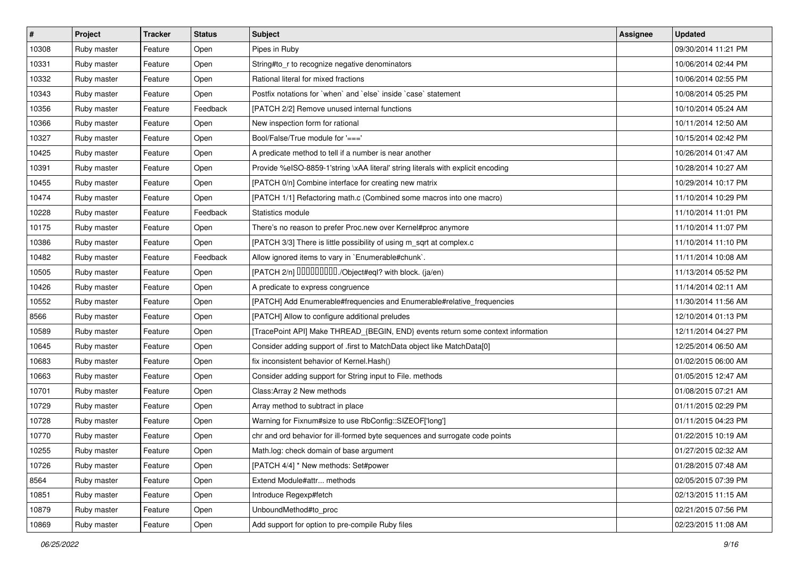| $\vert$ # | Project     | <b>Tracker</b> | <b>Status</b> | Subject                                                                          | <b>Assignee</b> | <b>Updated</b>      |
|-----------|-------------|----------------|---------------|----------------------------------------------------------------------------------|-----------------|---------------------|
| 10308     | Ruby master | Feature        | Open          | Pipes in Ruby                                                                    |                 | 09/30/2014 11:21 PM |
| 10331     | Ruby master | Feature        | Open          | String#to_r to recognize negative denominators                                   |                 | 10/06/2014 02:44 PM |
| 10332     | Ruby master | Feature        | Open          | Rational literal for mixed fractions                                             |                 | 10/06/2014 02:55 PM |
| 10343     | Ruby master | Feature        | Open          | Postfix notations for 'when' and 'else' inside 'case' statement                  |                 | 10/08/2014 05:25 PM |
| 10356     | Ruby master | Feature        | Feedback      | [PATCH 2/2] Remove unused internal functions                                     |                 | 10/10/2014 05:24 AM |
| 10366     | Ruby master | Feature        | Open          | New inspection form for rational                                                 |                 | 10/11/2014 12:50 AM |
| 10327     | Ruby master | Feature        | Open          | Bool/False/True module for '==='                                                 |                 | 10/15/2014 02:42 PM |
| 10425     | Ruby master | Feature        | Open          | A predicate method to tell if a number is near another                           |                 | 10/26/2014 01:47 AM |
| 10391     | Ruby master | Feature        | Open          | Provide %eISO-8859-1'string \xAA literal' string literals with explicit encoding |                 | 10/28/2014 10:27 AM |
| 10455     | Ruby master | Feature        | Open          | [PATCH 0/n] Combine interface for creating new matrix                            |                 | 10/29/2014 10:17 PM |
| 10474     | Ruby master | Feature        | Open          | [PATCH 1/1] Refactoring math.c (Combined some macros into one macro)             |                 | 11/10/2014 10:29 PM |
| 10228     | Ruby master | Feature        | Feedback      | Statistics module                                                                |                 | 11/10/2014 11:01 PM |
| 10175     | Ruby master | Feature        | Open          | There's no reason to prefer Proc.new over Kernel#proc anymore                    |                 | 11/10/2014 11:07 PM |
| 10386     | Ruby master | Feature        | Open          | [PATCH 3/3] There is little possibility of using m_sqrt at complex.c             |                 | 11/10/2014 11:10 PM |
| 10482     | Ruby master | Feature        | Feedback      | Allow ignored items to vary in `Enumerable#chunk`.                               |                 | 11/11/2014 10:08 AM |
| 10505     | Ruby master | Feature        | Open          | [PATCH 2/n] DDDDDDDD./Object#eql? with block. (ja/en)                            |                 | 11/13/2014 05:52 PM |
| 10426     | Ruby master | Feature        | Open          | A predicate to express congruence                                                |                 | 11/14/2014 02:11 AM |
| 10552     | Ruby master | Feature        | Open          | [PATCH] Add Enumerable#frequencies and Enumerable#relative_frequencies           |                 | 11/30/2014 11:56 AM |
| 8566      | Ruby master | Feature        | Open          | [PATCH] Allow to configure additional preludes                                   |                 | 12/10/2014 01:13 PM |
| 10589     | Ruby master | Feature        | Open          | [TracePoint API] Make THREAD_{BEGIN, END} events return some context information |                 | 12/11/2014 04:27 PM |
| 10645     | Ruby master | Feature        | Open          | Consider adding support of .first to MatchData object like MatchData[0]          |                 | 12/25/2014 06:50 AM |
| 10683     | Ruby master | Feature        | Open          | fix inconsistent behavior of Kernel. Hash()                                      |                 | 01/02/2015 06:00 AM |
| 10663     | Ruby master | Feature        | Open          | Consider adding support for String input to File. methods                        |                 | 01/05/2015 12:47 AM |
| 10701     | Ruby master | Feature        | Open          | Class: Array 2 New methods                                                       |                 | 01/08/2015 07:21 AM |
| 10729     | Ruby master | Feature        | Open          | Array method to subtract in place                                                |                 | 01/11/2015 02:29 PM |
| 10728     | Ruby master | Feature        | Open          | Warning for Fixnum#size to use RbConfig::SIZEOF['long']                          |                 | 01/11/2015 04:23 PM |
| 10770     | Ruby master | Feature        | Open          | chr and ord behavior for ill-formed byte sequences and surrogate code points     |                 | 01/22/2015 10:19 AM |
| 10255     | Ruby master | Feature        | Open          | Math.log: check domain of base argument                                          |                 | 01/27/2015 02:32 AM |
| 10726     | Ruby master | Feature        | Open          | [PATCH 4/4] * New methods: Set#power                                             |                 | 01/28/2015 07:48 AM |
| 8564      | Ruby master | Feature        | Open          | Extend Module#attr methods                                                       |                 | 02/05/2015 07:39 PM |
| 10851     | Ruby master | Feature        | Open          | Introduce Regexp#fetch                                                           |                 | 02/13/2015 11:15 AM |
| 10879     | Ruby master | Feature        | Open          | UnboundMethod#to_proc                                                            |                 | 02/21/2015 07:56 PM |
| 10869     | Ruby master | Feature        | Open          | Add support for option to pre-compile Ruby files                                 |                 | 02/23/2015 11:08 AM |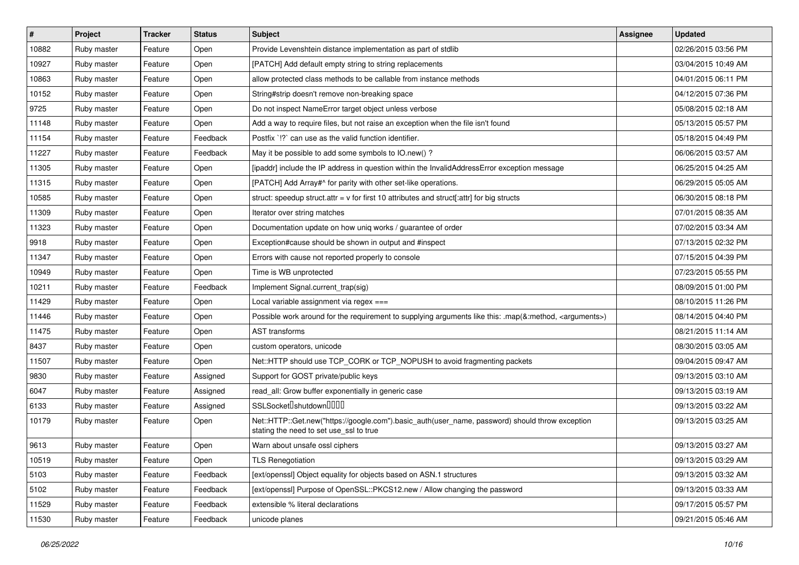| $\vert$ # | Project     | <b>Tracker</b> | <b>Status</b> | <b>Subject</b>                                                                                                                             | <b>Assignee</b> | <b>Updated</b>      |
|-----------|-------------|----------------|---------------|--------------------------------------------------------------------------------------------------------------------------------------------|-----------------|---------------------|
| 10882     | Ruby master | Feature        | Open          | Provide Levenshtein distance implementation as part of stdlib                                                                              |                 | 02/26/2015 03:56 PM |
| 10927     | Ruby master | Feature        | Open          | [PATCH] Add default empty string to string replacements                                                                                    |                 | 03/04/2015 10:49 AM |
| 10863     | Ruby master | Feature        | Open          | allow protected class methods to be callable from instance methods                                                                         |                 | 04/01/2015 06:11 PM |
| 10152     | Ruby master | Feature        | Open          | String#strip doesn't remove non-breaking space                                                                                             |                 | 04/12/2015 07:36 PM |
| 9725      | Ruby master | Feature        | Open          | Do not inspect NameError target object unless verbose                                                                                      |                 | 05/08/2015 02:18 AM |
| 11148     | Ruby master | Feature        | Open          | Add a way to require files, but not raise an exception when the file isn't found                                                           |                 | 05/13/2015 05:57 PM |
| 11154     | Ruby master | Feature        | Feedback      | Postfix `!?` can use as the valid function identifier.                                                                                     |                 | 05/18/2015 04:49 PM |
| 11227     | Ruby master | Feature        | Feedback      | May it be possible to add some symbols to IO.new()?                                                                                        |                 | 06/06/2015 03:57 AM |
| 11305     | Ruby master | Feature        | Open          | [ipaddr] include the IP address in question within the InvalidAddressError exception message                                               |                 | 06/25/2015 04:25 AM |
| 11315     | Ruby master | Feature        | Open          | [PATCH] Add Array#^ for parity with other set-like operations.                                                                             |                 | 06/29/2015 05:05 AM |
| 10585     | Ruby master | Feature        | Open          | struct: speedup struct.attr = $v$ for first 10 attributes and struct[:attr] for big structs                                                |                 | 06/30/2015 08:18 PM |
| 11309     | Ruby master | Feature        | Open          | Iterator over string matches                                                                                                               |                 | 07/01/2015 08:35 AM |
| 11323     | Ruby master | Feature        | Open          | Documentation update on how uniq works / guarantee of order                                                                                |                 | 07/02/2015 03:34 AM |
| 9918      | Ruby master | Feature        | Open          | Exception#cause should be shown in output and #inspect                                                                                     |                 | 07/13/2015 02:32 PM |
| 11347     | Ruby master | Feature        | Open          | Errors with cause not reported properly to console                                                                                         |                 | 07/15/2015 04:39 PM |
| 10949     | Ruby master | Feature        | Open          | Time is WB unprotected                                                                                                                     |                 | 07/23/2015 05:55 PM |
| 10211     | Ruby master | Feature        | Feedback      | Implement Signal.current_trap(sig)                                                                                                         |                 | 08/09/2015 01:00 PM |
| 11429     | Ruby master | Feature        | Open          | Local variable assignment via regex ===                                                                                                    |                 | 08/10/2015 11:26 PM |
| 11446     | Ruby master | Feature        | Open          | Possible work around for the requirement to supplying arguments like this: .map(&:method, <arguments>)</arguments>                         |                 | 08/14/2015 04:40 PM |
| 11475     | Ruby master | Feature        | Open          | <b>AST</b> transforms                                                                                                                      |                 | 08/21/2015 11:14 AM |
| 8437      | Ruby master | Feature        | Open          | custom operators, unicode                                                                                                                  |                 | 08/30/2015 03:05 AM |
| 11507     | Ruby master | Feature        | Open          | Net::HTTP should use TCP_CORK or TCP_NOPUSH to avoid fragmenting packets                                                                   |                 | 09/04/2015 09:47 AM |
| 9830      | Ruby master | Feature        | Assigned      | Support for GOST private/public keys                                                                                                       |                 | 09/13/2015 03:10 AM |
| 6047      | Ruby master | Feature        | Assigned      | read all: Grow buffer exponentially in generic case                                                                                        |                 | 09/13/2015 03:19 AM |
| 6133      | Ruby master | Feature        | Assigned      | SSLSocket <sup>[]</sup> shutdown <sup>[][][]</sup>                                                                                         |                 | 09/13/2015 03:22 AM |
| 10179     | Ruby master | Feature        | Open          | Net::HTTP::Get.new("https://google.com").basic_auth(user_name, password) should throw exception<br>stating the need to set use ssl to true |                 | 09/13/2015 03:25 AM |
| 9613      | Ruby master | Feature        | Open          | Warn about unsafe ossl ciphers                                                                                                             |                 | 09/13/2015 03:27 AM |
| 10519     | Ruby master | Feature        | Open          | <b>TLS Renegotiation</b>                                                                                                                   |                 | 09/13/2015 03:29 AM |
| 5103      | Ruby master | Feature        | Feedback      | [ext/openssl] Object equality for objects based on ASN.1 structures                                                                        |                 | 09/13/2015 03:32 AM |
| 5102      | Ruby master | Feature        | Feedback      | [ext/openssl] Purpose of OpenSSL::PKCS12.new / Allow changing the password                                                                 |                 | 09/13/2015 03:33 AM |
| 11529     | Ruby master | Feature        | Feedback      | extensible % literal declarations                                                                                                          |                 | 09/17/2015 05:57 PM |
| 11530     | Ruby master | Feature        | Feedback      | unicode planes                                                                                                                             |                 | 09/21/2015 05:46 AM |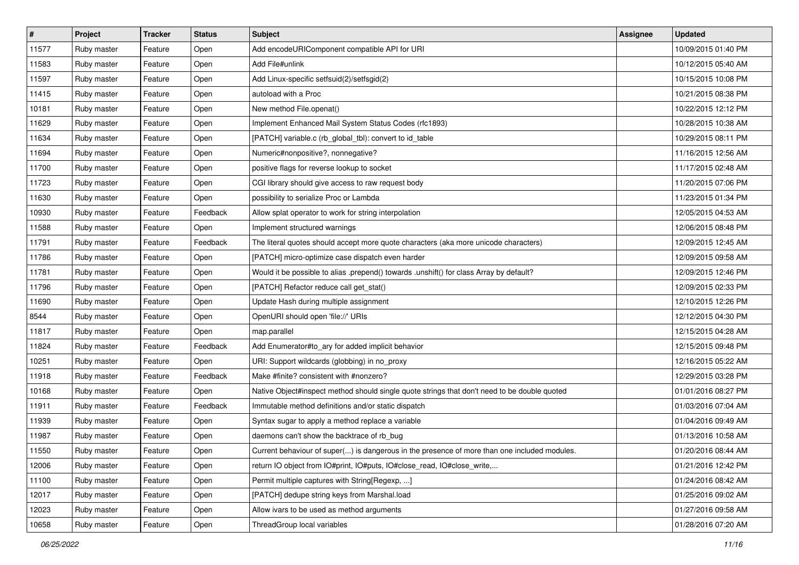| $\vert$ # | Project     | <b>Tracker</b> | <b>Status</b> | Subject                                                                                      | <b>Assignee</b> | <b>Updated</b>      |
|-----------|-------------|----------------|---------------|----------------------------------------------------------------------------------------------|-----------------|---------------------|
| 11577     | Ruby master | Feature        | Open          | Add encodeURIComponent compatible API for URI                                                |                 | 10/09/2015 01:40 PM |
| 11583     | Ruby master | Feature        | Open          | Add File#unlink                                                                              |                 | 10/12/2015 05:40 AM |
| 11597     | Ruby master | Feature        | Open          | Add Linux-specific setfsuid(2)/setfsgid(2)                                                   |                 | 10/15/2015 10:08 PM |
| 11415     | Ruby master | Feature        | Open          | autoload with a Proc                                                                         |                 | 10/21/2015 08:38 PM |
| 10181     | Ruby master | Feature        | Open          | New method File.openat()                                                                     |                 | 10/22/2015 12:12 PM |
| 11629     | Ruby master | Feature        | Open          | Implement Enhanced Mail System Status Codes (rfc1893)                                        |                 | 10/28/2015 10:38 AM |
| 11634     | Ruby master | Feature        | Open          | [PATCH] variable.c (rb_global_tbl): convert to id_table                                      |                 | 10/29/2015 08:11 PM |
| 11694     | Ruby master | Feature        | Open          | Numeric#nonpositive?, nonnegative?                                                           |                 | 11/16/2015 12:56 AM |
| 11700     | Ruby master | Feature        | Open          | positive flags for reverse lookup to socket                                                  |                 | 11/17/2015 02:48 AM |
| 11723     | Ruby master | Feature        | Open          | CGI library should give access to raw request body                                           |                 | 11/20/2015 07:06 PM |
| 11630     | Ruby master | Feature        | Open          | possibility to serialize Proc or Lambda                                                      |                 | 11/23/2015 01:34 PM |
| 10930     | Ruby master | Feature        | Feedback      | Allow splat operator to work for string interpolation                                        |                 | 12/05/2015 04:53 AM |
| 11588     | Ruby master | Feature        | Open          | Implement structured warnings                                                                |                 | 12/06/2015 08:48 PM |
| 11791     | Ruby master | Feature        | Feedback      | The literal quotes should accept more quote characters (aka more unicode characters)         |                 | 12/09/2015 12:45 AM |
| 11786     | Ruby master | Feature        | Open          | [PATCH] micro-optimize case dispatch even harder                                             |                 | 12/09/2015 09:58 AM |
| 11781     | Ruby master | Feature        | Open          | Would it be possible to alias .prepend() towards .unshift() for class Array by default?      |                 | 12/09/2015 12:46 PM |
| 11796     | Ruby master | Feature        | Open          | [PATCH] Refactor reduce call get_stat()                                                      |                 | 12/09/2015 02:33 PM |
| 11690     | Ruby master | Feature        | Open          | Update Hash during multiple assignment                                                       |                 | 12/10/2015 12:26 PM |
| 8544      | Ruby master | Feature        | Open          | OpenURI should open 'file://' URIs                                                           |                 | 12/12/2015 04:30 PM |
| 11817     | Ruby master | Feature        | Open          | map.parallel                                                                                 |                 | 12/15/2015 04:28 AM |
| 11824     | Ruby master | Feature        | Feedback      | Add Enumerator#to_ary for added implicit behavior                                            |                 | 12/15/2015 09:48 PM |
| 10251     | Ruby master | Feature        | Open          | URI: Support wildcards (globbing) in no_proxy                                                |                 | 12/16/2015 05:22 AM |
| 11918     | Ruby master | Feature        | Feedback      | Make #finite? consistent with #nonzero?                                                      |                 | 12/29/2015 03:28 PM |
| 10168     | Ruby master | Feature        | Open          | Native Object#inspect method should single quote strings that don't need to be double quoted |                 | 01/01/2016 08:27 PM |
| 11911     | Ruby master | Feature        | Feedback      | Immutable method definitions and/or static dispatch                                          |                 | 01/03/2016 07:04 AM |
| 11939     | Ruby master | Feature        | Open          | Syntax sugar to apply a method replace a variable                                            |                 | 01/04/2016 09:49 AM |
| 11987     | Ruby master | Feature        | Open          | daemons can't show the backtrace of rb bug                                                   |                 | 01/13/2016 10:58 AM |
| 11550     | Ruby master | Feature        | Open          | Current behaviour of super() is dangerous in the presence of more than one included modules. |                 | 01/20/2016 08:44 AM |
| 12006     | Ruby master | Feature        | Open          | return IO object from IO#print, IO#puts, IO#close read, IO#close write,                      |                 | 01/21/2016 12:42 PM |
| 11100     | Ruby master | Feature        | Open          | Permit multiple captures with String[Regexp, ]                                               |                 | 01/24/2016 08:42 AM |
| 12017     | Ruby master | Feature        | Open          | [PATCH] dedupe string keys from Marshal.load                                                 |                 | 01/25/2016 09:02 AM |
| 12023     | Ruby master | Feature        | Open          | Allow ivars to be used as method arguments                                                   |                 | 01/27/2016 09:58 AM |
| 10658     | Ruby master | Feature        | Open          | ThreadGroup local variables                                                                  |                 | 01/28/2016 07:20 AM |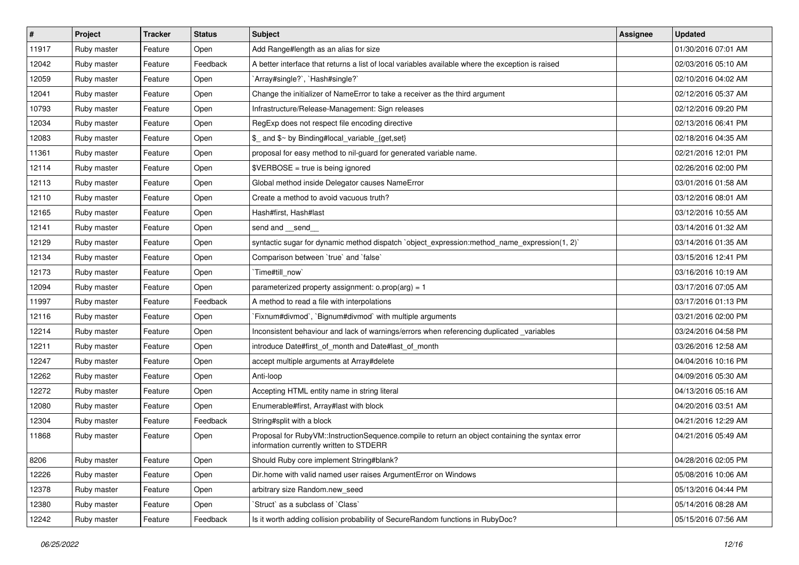| $\sharp$ | Project     | <b>Tracker</b> | <b>Status</b> | Subject                                                                                                                                     | Assignee | <b>Updated</b>      |
|----------|-------------|----------------|---------------|---------------------------------------------------------------------------------------------------------------------------------------------|----------|---------------------|
| 11917    | Ruby master | Feature        | Open          | Add Range#length as an alias for size                                                                                                       |          | 01/30/2016 07:01 AM |
| 12042    | Ruby master | Feature        | Feedback      | A better interface that returns a list of local variables available where the exception is raised                                           |          | 02/03/2016 05:10 AM |
| 12059    | Ruby master | Feature        | Open          | `Array#single?`, `Hash#single?`                                                                                                             |          | 02/10/2016 04:02 AM |
| 12041    | Ruby master | Feature        | Open          | Change the initializer of NameError to take a receiver as the third argument                                                                |          | 02/12/2016 05:37 AM |
| 10793    | Ruby master | Feature        | Open          | Infrastructure/Release-Management: Sign releases                                                                                            |          | 02/12/2016 09:20 PM |
| 12034    | Ruby master | Feature        | Open          | RegExp does not respect file encoding directive                                                                                             |          | 02/13/2016 06:41 PM |
| 12083    | Ruby master | Feature        | Open          | \$ and \$~ by Binding#local_variable_{get,set}                                                                                              |          | 02/18/2016 04:35 AM |
| 11361    | Ruby master | Feature        | Open          | proposal for easy method to nil-guard for generated variable name.                                                                          |          | 02/21/2016 12:01 PM |
| 12114    | Ruby master | Feature        | Open          | \$VERBOSE = true is being ignored                                                                                                           |          | 02/26/2016 02:00 PM |
| 12113    | Ruby master | Feature        | Open          | Global method inside Delegator causes NameError                                                                                             |          | 03/01/2016 01:58 AM |
| 12110    | Ruby master | Feature        | Open          | Create a method to avoid vacuous truth?                                                                                                     |          | 03/12/2016 08:01 AM |
| 12165    | Ruby master | Feature        | Open          | Hash#first, Hash#last                                                                                                                       |          | 03/12/2016 10:55 AM |
| 12141    | Ruby master | Feature        | Open          | send and __send_                                                                                                                            |          | 03/14/2016 01:32 AM |
| 12129    | Ruby master | Feature        | Open          | syntactic sugar for dynamic method dispatch `object_expression:method_name_expression(1, 2)`                                                |          | 03/14/2016 01:35 AM |
| 12134    | Ruby master | Feature        | Open          | Comparison between 'true' and 'false'                                                                                                       |          | 03/15/2016 12:41 PM |
| 12173    | Ruby master | Feature        | Open          | Time#till_now`                                                                                                                              |          | 03/16/2016 10:19 AM |
| 12094    | Ruby master | Feature        | Open          | parameterized property assignment: $o.prop(arg) = 1$                                                                                        |          | 03/17/2016 07:05 AM |
| 11997    | Ruby master | Feature        | Feedback      | A method to read a file with interpolations                                                                                                 |          | 03/17/2016 01:13 PM |
| 12116    | Ruby master | Feature        | Open          | Fixnum#divmod`, `Bignum#divmod` with multiple arguments                                                                                     |          | 03/21/2016 02:00 PM |
| 12214    | Ruby master | Feature        | Open          | Inconsistent behaviour and lack of warnings/errors when referencing duplicated _variables                                                   |          | 03/24/2016 04:58 PM |
| 12211    | Ruby master | Feature        | Open          | introduce Date#first of month and Date#last of month                                                                                        |          | 03/26/2016 12:58 AM |
| 12247    | Ruby master | Feature        | Open          | accept multiple arguments at Array#delete                                                                                                   |          | 04/04/2016 10:16 PM |
| 12262    | Ruby master | Feature        | Open          | Anti-loop                                                                                                                                   |          | 04/09/2016 05:30 AM |
| 12272    | Ruby master | Feature        | Open          | Accepting HTML entity name in string literal                                                                                                |          | 04/13/2016 05:16 AM |
| 12080    | Ruby master | Feature        | Open          | Enumerable#first, Array#last with block                                                                                                     |          | 04/20/2016 03:51 AM |
| 12304    | Ruby master | Feature        | Feedback      | String#split with a block                                                                                                                   |          | 04/21/2016 12:29 AM |
| 11868    | Ruby master | Feature        | Open          | Proposal for RubyVM::InstructionSequence.compile to return an object containing the syntax error<br>information currently written to STDERR |          | 04/21/2016 05:49 AM |
| 8206     | Ruby master | Feature        | Open          | Should Ruby core implement String#blank?                                                                                                    |          | 04/28/2016 02:05 PM |
| 12226    | Ruby master | Feature        | Open          | Dir.home with valid named user raises ArgumentError on Windows                                                                              |          | 05/08/2016 10:06 AM |
| 12378    | Ruby master | Feature        | Open          | arbitrary size Random.new_seed                                                                                                              |          | 05/13/2016 04:44 PM |
| 12380    | Ruby master | Feature        | Open          | 'Struct' as a subclass of 'Class'                                                                                                           |          | 05/14/2016 08:28 AM |
| 12242    | Ruby master | Feature        | Feedback      | Is it worth adding collision probability of SecureRandom functions in RubyDoc?                                                              |          | 05/15/2016 07:56 AM |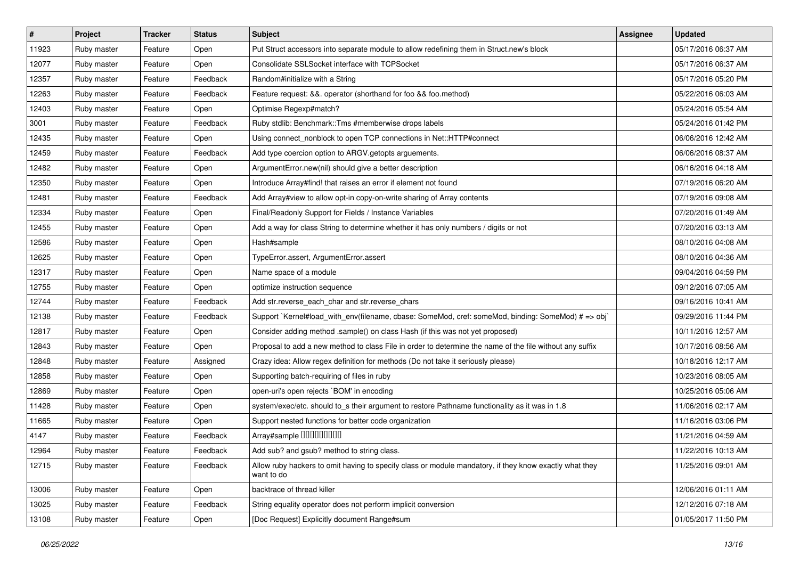| $\vert$ # | Project     | <b>Tracker</b> | <b>Status</b> | Subject                                                                                                              | Assignee | <b>Updated</b>      |
|-----------|-------------|----------------|---------------|----------------------------------------------------------------------------------------------------------------------|----------|---------------------|
| 11923     | Ruby master | Feature        | Open          | Put Struct accessors into separate module to allow redefining them in Struct.new's block                             |          | 05/17/2016 06:37 AM |
| 12077     | Ruby master | Feature        | Open          | Consolidate SSLSocket interface with TCPSocket                                                                       |          | 05/17/2016 06:37 AM |
| 12357     | Ruby master | Feature        | Feedback      | Random#initialize with a String                                                                                      |          | 05/17/2016 05:20 PM |
| 12263     | Ruby master | Feature        | Feedback      | Feature request: &&. operator (shorthand for foo && foo.method)                                                      |          | 05/22/2016 06:03 AM |
| 12403     | Ruby master | Feature        | Open          | Optimise Regexp#match?                                                                                               |          | 05/24/2016 05:54 AM |
| 3001      | Ruby master | Feature        | Feedback      | Ruby stdlib: Benchmark::Tms #memberwise drops labels                                                                 |          | 05/24/2016 01:42 PM |
| 12435     | Ruby master | Feature        | Open          | Using connect_nonblock to open TCP connections in Net::HTTP#connect                                                  |          | 06/06/2016 12:42 AM |
| 12459     | Ruby master | Feature        | Feedback      | Add type coercion option to ARGV getopts arguements.                                                                 |          | 06/06/2016 08:37 AM |
| 12482     | Ruby master | Feature        | Open          | ArgumentError.new(nil) should give a better description                                                              |          | 06/16/2016 04:18 AM |
| 12350     | Ruby master | Feature        | Open          | Introduce Array#find! that raises an error if element not found                                                      |          | 07/19/2016 06:20 AM |
| 12481     | Ruby master | Feature        | Feedback      | Add Array#view to allow opt-in copy-on-write sharing of Array contents                                               |          | 07/19/2016 09:08 AM |
| 12334     | Ruby master | Feature        | Open          | Final/Readonly Support for Fields / Instance Variables                                                               |          | 07/20/2016 01:49 AM |
| 12455     | Ruby master | Feature        | Open          | Add a way for class String to determine whether it has only numbers / digits or not                                  |          | 07/20/2016 03:13 AM |
| 12586     | Ruby master | Feature        | Open          | Hash#sample                                                                                                          |          | 08/10/2016 04:08 AM |
| 12625     | Ruby master | Feature        | Open          | TypeError.assert, ArgumentError.assert                                                                               |          | 08/10/2016 04:36 AM |
| 12317     | Ruby master | Feature        | Open          | Name space of a module                                                                                               |          | 09/04/2016 04:59 PM |
| 12755     | Ruby master | Feature        | Open          | optimize instruction sequence                                                                                        |          | 09/12/2016 07:05 AM |
| 12744     | Ruby master | Feature        | Feedback      | Add str.reverse_each_char and str.reverse_chars                                                                      |          | 09/16/2016 10:41 AM |
| 12138     | Ruby master | Feature        | Feedback      | Support `Kernel#load_with_env(filename, cbase: SomeMod, cref: someMod, binding: SomeMod) # => obj`                   |          | 09/29/2016 11:44 PM |
| 12817     | Ruby master | Feature        | Open          | Consider adding method .sample() on class Hash (if this was not yet proposed)                                        |          | 10/11/2016 12:57 AM |
| 12843     | Ruby master | Feature        | Open          | Proposal to add a new method to class File in order to determine the name of the file without any suffix             |          | 10/17/2016 08:56 AM |
| 12848     | Ruby master | Feature        | Assigned      | Crazy idea: Allow regex definition for methods (Do not take it seriously please)                                     |          | 10/18/2016 12:17 AM |
| 12858     | Ruby master | Feature        | Open          | Supporting batch-requiring of files in ruby                                                                          |          | 10/23/2016 08:05 AM |
| 12869     | Ruby master | Feature        | Open          | open-uri's open rejects `BOM' in encoding                                                                            |          | 10/25/2016 05:06 AM |
| 11428     | Ruby master | Feature        | Open          | system/exec/etc. should to_s their argument to restore Pathname functionality as it was in 1.8                       |          | 11/06/2016 02:17 AM |
| 11665     | Ruby master | Feature        | Open          | Support nested functions for better code organization                                                                |          | 11/16/2016 03:06 PM |
| 4147      | Ruby master | Feature        | Feedback      | Array#sample 00000000                                                                                                |          | 11/21/2016 04:59 AM |
| 12964     | Ruby master | Feature        | Feedback      | Add sub? and gsub? method to string class.                                                                           |          | 11/22/2016 10:13 AM |
| 12715     | Ruby master | Feature        | Feedback      | Allow ruby hackers to omit having to specify class or module mandatory, if they know exactly what they<br>want to do |          | 11/25/2016 09:01 AM |
| 13006     | Ruby master | Feature        | Open          | backtrace of thread killer                                                                                           |          | 12/06/2016 01:11 AM |
| 13025     | Ruby master | Feature        | Feedback      | String equality operator does not perform implicit conversion                                                        |          | 12/12/2016 07:18 AM |
| 13108     | Ruby master | Feature        | Open          | [Doc Request] Explicitly document Range#sum                                                                          |          | 01/05/2017 11:50 PM |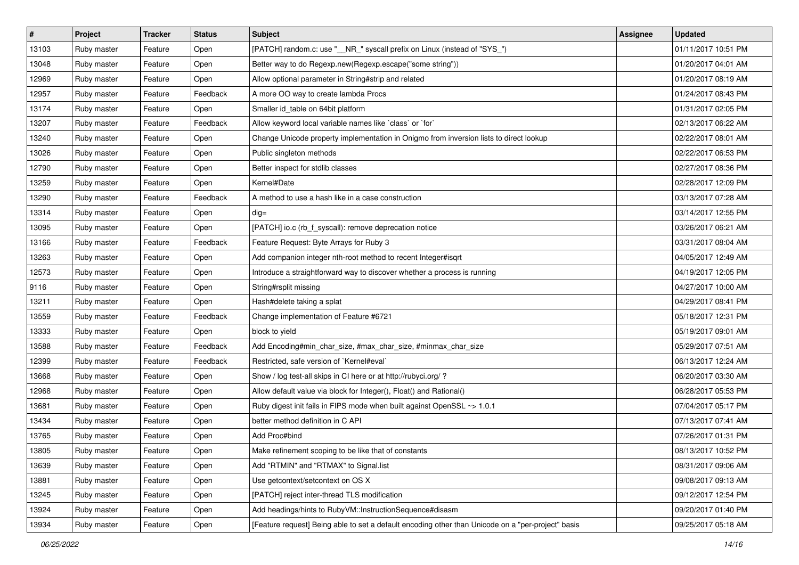| $\vert$ # | Project     | <b>Tracker</b> | <b>Status</b> | <b>Subject</b>                                                                                     | Assignee | <b>Updated</b>      |
|-----------|-------------|----------------|---------------|----------------------------------------------------------------------------------------------------|----------|---------------------|
| 13103     | Ruby master | Feature        | Open          | [PATCH] random.c: use "_NR_" syscall prefix on Linux (instead of "SYS_")                           |          | 01/11/2017 10:51 PM |
| 13048     | Ruby master | Feature        | Open          | Better way to do Regexp.new(Regexp.escape("some string"))                                          |          | 01/20/2017 04:01 AM |
| 12969     | Ruby master | Feature        | Open          | Allow optional parameter in String#strip and related                                               |          | 01/20/2017 08:19 AM |
| 12957     | Ruby master | Feature        | Feedback      | A more OO way to create lambda Procs                                                               |          | 01/24/2017 08:43 PM |
| 13174     | Ruby master | Feature        | Open          | Smaller id_table on 64bit platform                                                                 |          | 01/31/2017 02:05 PM |
| 13207     | Ruby master | Feature        | Feedback      | Allow keyword local variable names like `class` or `for`                                           |          | 02/13/2017 06:22 AM |
| 13240     | Ruby master | Feature        | Open          | Change Unicode property implementation in Onigmo from inversion lists to direct lookup             |          | 02/22/2017 08:01 AM |
| 13026     | Ruby master | Feature        | Open          | Public singleton methods                                                                           |          | 02/22/2017 06:53 PM |
| 12790     | Ruby master | Feature        | Open          | Better inspect for stdlib classes                                                                  |          | 02/27/2017 08:36 PM |
| 13259     | Ruby master | Feature        | Open          | Kernel#Date                                                                                        |          | 02/28/2017 12:09 PM |
| 13290     | Ruby master | Feature        | Feedback      | A method to use a hash like in a case construction                                                 |          | 03/13/2017 07:28 AM |
| 13314     | Ruby master | Feature        | Open          | $dig =$                                                                                            |          | 03/14/2017 12:55 PM |
| 13095     | Ruby master | Feature        | Open          | [PATCH] io.c (rb_f_syscall): remove deprecation notice                                             |          | 03/26/2017 06:21 AM |
| 13166     | Ruby master | Feature        | Feedback      | Feature Request: Byte Arrays for Ruby 3                                                            |          | 03/31/2017 08:04 AM |
| 13263     | Ruby master | Feature        | Open          | Add companion integer nth-root method to recent Integer#isqrt                                      |          | 04/05/2017 12:49 AM |
| 12573     | Ruby master | Feature        | Open          | Introduce a straightforward way to discover whether a process is running                           |          | 04/19/2017 12:05 PM |
| 9116      | Ruby master | Feature        | Open          | String#rsplit missing                                                                              |          | 04/27/2017 10:00 AM |
| 13211     | Ruby master | Feature        | Open          | Hash#delete taking a splat                                                                         |          | 04/29/2017 08:41 PM |
| 13559     | Ruby master | Feature        | Feedback      | Change implementation of Feature #6721                                                             |          | 05/18/2017 12:31 PM |
| 13333     | Ruby master | Feature        | Open          | block to yield                                                                                     |          | 05/19/2017 09:01 AM |
| 13588     | Ruby master | Feature        | Feedback      | Add Encoding#min_char_size, #max_char_size, #minmax_char_size                                      |          | 05/29/2017 07:51 AM |
| 12399     | Ruby master | Feature        | Feedback      | Restricted, safe version of `Kernel#eval`                                                          |          | 06/13/2017 12:24 AM |
| 13668     | Ruby master | Feature        | Open          | Show / log test-all skips in CI here or at http://rubyci.org/ ?                                    |          | 06/20/2017 03:30 AM |
| 12968     | Ruby master | Feature        | Open          | Allow default value via block for Integer(), Float() and Rational()                                |          | 06/28/2017 05:53 PM |
| 13681     | Ruby master | Feature        | Open          | Ruby digest init fails in FIPS mode when built against OpenSSL ~> 1.0.1                            |          | 07/04/2017 05:17 PM |
| 13434     | Ruby master | Feature        | Open          | better method definition in C API                                                                  |          | 07/13/2017 07:41 AM |
| 13765     | Ruby master | Feature        | Open          | Add Proc#bind                                                                                      |          | 07/26/2017 01:31 PM |
| 13805     | Ruby master | Feature        | Open          | Make refinement scoping to be like that of constants                                               |          | 08/13/2017 10:52 PM |
| 13639     | Ruby master | Feature        | Open          | Add "RTMIN" and "RTMAX" to Signal.list                                                             |          | 08/31/2017 09:06 AM |
| 13881     | Ruby master | Feature        | Open          | Use getcontext/setcontext on OS X                                                                  |          | 09/08/2017 09:13 AM |
| 13245     | Ruby master | Feature        | Open          | [PATCH] reject inter-thread TLS modification                                                       |          | 09/12/2017 12:54 PM |
| 13924     | Ruby master | Feature        | Open          | Add headings/hints to RubyVM::InstructionSequence#disasm                                           |          | 09/20/2017 01:40 PM |
| 13934     | Ruby master | Feature        | Open          | [Feature request] Being able to set a default encoding other than Unicode on a "per-project" basis |          | 09/25/2017 05:18 AM |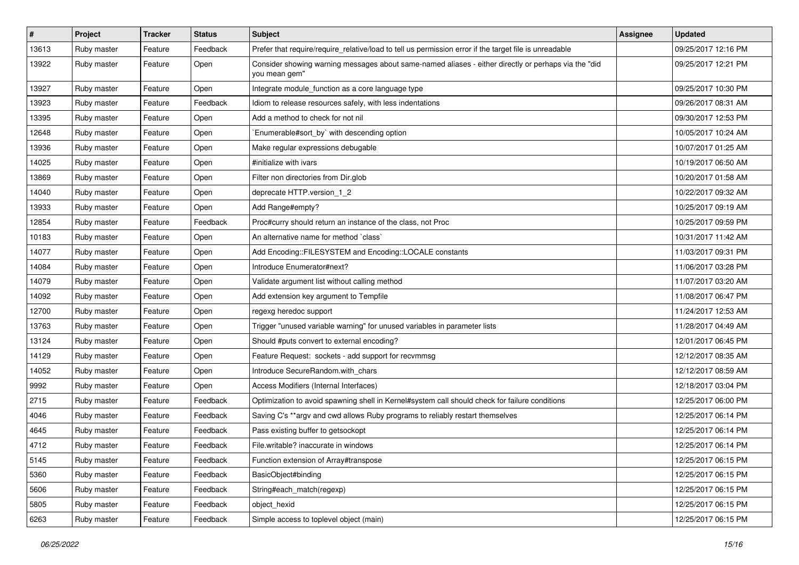| $\sharp$ | Project     | <b>Tracker</b> | <b>Status</b> | Subject                                                                                                               | <b>Assignee</b> | <b>Updated</b>      |
|----------|-------------|----------------|---------------|-----------------------------------------------------------------------------------------------------------------------|-----------------|---------------------|
| 13613    | Ruby master | Feature        | Feedback      | Prefer that require/require_relative/load to tell us permission error if the target file is unreadable                |                 | 09/25/2017 12:16 PM |
| 13922    | Ruby master | Feature        | Open          | Consider showing warning messages about same-named aliases - either directly or perhaps via the "did<br>you mean gem" |                 | 09/25/2017 12:21 PM |
| 13927    | Ruby master | Feature        | Open          | Integrate module_function as a core language type                                                                     |                 | 09/25/2017 10:30 PM |
| 13923    | Ruby master | Feature        | Feedback      | Idiom to release resources safely, with less indentations                                                             |                 | 09/26/2017 08:31 AM |
| 13395    | Ruby master | Feature        | Open          | Add a method to check for not nil                                                                                     |                 | 09/30/2017 12:53 PM |
| 12648    | Ruby master | Feature        | Open          | Enumerable#sort_by` with descending option                                                                            |                 | 10/05/2017 10:24 AM |
| 13936    | Ruby master | Feature        | Open          | Make regular expressions debugable                                                                                    |                 | 10/07/2017 01:25 AM |
| 14025    | Ruby master | Feature        | Open          | #initialize with ivars                                                                                                |                 | 10/19/2017 06:50 AM |
| 13869    | Ruby master | Feature        | Open          | Filter non directories from Dir.glob                                                                                  |                 | 10/20/2017 01:58 AM |
| 14040    | Ruby master | Feature        | Open          | deprecate HTTP.version_1_2                                                                                            |                 | 10/22/2017 09:32 AM |
| 13933    | Ruby master | Feature        | Open          | Add Range#empty?                                                                                                      |                 | 10/25/2017 09:19 AM |
| 12854    | Ruby master | Feature        | Feedback      | Proc#curry should return an instance of the class, not Proc                                                           |                 | 10/25/2017 09:59 PM |
| 10183    | Ruby master | Feature        | Open          | An alternative name for method `class`                                                                                |                 | 10/31/2017 11:42 AM |
| 14077    | Ruby master | Feature        | Open          | Add Encoding::FILESYSTEM and Encoding::LOCALE constants                                                               |                 | 11/03/2017 09:31 PM |
| 14084    | Ruby master | Feature        | Open          | Introduce Enumerator#next?                                                                                            |                 | 11/06/2017 03:28 PM |
| 14079    | Ruby master | Feature        | Open          | Validate argument list without calling method                                                                         |                 | 11/07/2017 03:20 AM |
| 14092    | Ruby master | Feature        | Open          | Add extension key argument to Tempfile                                                                                |                 | 11/08/2017 06:47 PM |
| 12700    | Ruby master | Feature        | Open          | regexg heredoc support                                                                                                |                 | 11/24/2017 12:53 AM |
| 13763    | Ruby master | Feature        | Open          | Trigger "unused variable warning" for unused variables in parameter lists                                             |                 | 11/28/2017 04:49 AM |
| 13124    | Ruby master | Feature        | Open          | Should #puts convert to external encoding?                                                                            |                 | 12/01/2017 06:45 PM |
| 14129    | Ruby master | Feature        | Open          | Feature Request: sockets - add support for recvmmsg                                                                   |                 | 12/12/2017 08:35 AM |
| 14052    | Ruby master | Feature        | Open          | Introduce SecureRandom.with_chars                                                                                     |                 | 12/12/2017 08:59 AM |
| 9992     | Ruby master | Feature        | Open          | Access Modifiers (Internal Interfaces)                                                                                |                 | 12/18/2017 03:04 PM |
| 2715     | Ruby master | Feature        | Feedback      | Optimization to avoid spawning shell in Kernel#system call should check for failure conditions                        |                 | 12/25/2017 06:00 PM |
| 4046     | Ruby master | Feature        | Feedback      | Saving C's ** argv and cwd allows Ruby programs to reliably restart themselves                                        |                 | 12/25/2017 06:14 PM |
| 4645     | Ruby master | Feature        | Feedback      | Pass existing buffer to getsockopt                                                                                    |                 | 12/25/2017 06:14 PM |
| 4712     | Ruby master | Feature        | Feedback      | File.writable? inaccurate in windows                                                                                  |                 | 12/25/2017 06:14 PM |
| 5145     | Ruby master | Feature        | Feedback      | Function extension of Array#transpose                                                                                 |                 | 12/25/2017 06:15 PM |
| 5360     | Ruby master | Feature        | Feedback      | BasicObject#binding                                                                                                   |                 | 12/25/2017 06:15 PM |
| 5606     | Ruby master | Feature        | Feedback      | String#each_match(regexp)                                                                                             |                 | 12/25/2017 06:15 PM |
| 5805     | Ruby master | Feature        | Feedback      | object hexid                                                                                                          |                 | 12/25/2017 06:15 PM |
| 6263     | Ruby master | Feature        | Feedback      | Simple access to toplevel object (main)                                                                               |                 | 12/25/2017 06:15 PM |